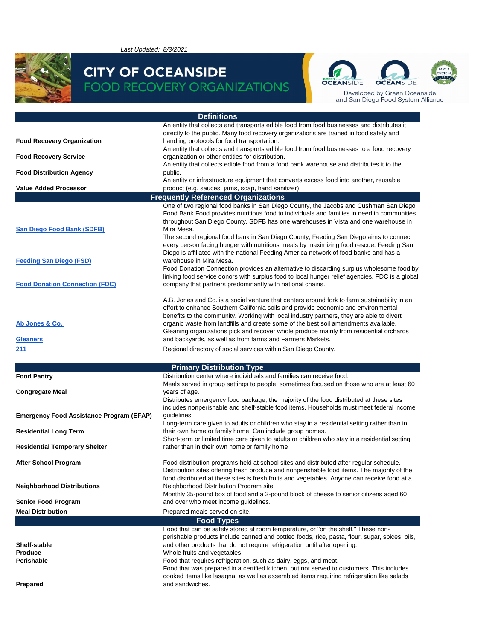*Last Updated: 8/3/2021*



#### **CITY OF OCEANSIDE FOOD RECOVERY ORGANIZATIONS**

**Definitions**



Developed by Green Oceanside<br>and San Diego Food System Alliance

|                                                 | Denninons                                                                                                                                                                          |
|-------------------------------------------------|------------------------------------------------------------------------------------------------------------------------------------------------------------------------------------|
|                                                 | An entity that collects and transports edible food from food businesses and distributes it                                                                                         |
|                                                 | directly to the public. Many food recovery organizations are trained in food safety and                                                                                            |
| <b>Food Recovery Organization</b>               | handling protocols for food transportation.                                                                                                                                        |
|                                                 | An entity that collects and transports edible food from food businesses to a food recovery                                                                                         |
| <b>Food Recovery Service</b>                    | organization or other entities for distribution.                                                                                                                                   |
|                                                 | An entity that collects edible food from a food bank warehouse and distributes it to the                                                                                           |
| <b>Food Distribution Agency</b>                 | public.                                                                                                                                                                            |
| <b>Value Added Processor</b>                    | An entity or infrastructure equipment that converts excess food into another, reusable                                                                                             |
|                                                 | product (e.g. sauces, jams, soap, hand sanitizer)                                                                                                                                  |
|                                                 | <b>Frequently Referenced Organizations</b>                                                                                                                                         |
|                                                 | One of two regional food banks in San Diego County, the Jacobs and Cushman San Diego                                                                                               |
|                                                 | Food Bank Food provides nutritious food to individuals and families in need in communities                                                                                         |
|                                                 | throughout San Diego County. SDFB has one warehouses in Vista and one warehouse in                                                                                                 |
| <b>San Diego Food Bank (SDFB)</b>               | Mira Mesa.                                                                                                                                                                         |
|                                                 | The second regional food bank in San Diego County, Feeding San Diego aims to connect                                                                                               |
|                                                 | every person facing hunger with nutritious meals by maximizing food rescue. Feeding San<br>Diego is affiliated with the national Feeding America network of food banks and has a   |
| <b>Feeding San Diego (FSD)</b>                  | warehouse in Mira Mesa.                                                                                                                                                            |
|                                                 | Food Donation Connection provides an alternative to discarding surplus wholesome food by                                                                                           |
|                                                 | linking food service donors with surplus food to local hunger relief agencies. FDC is a global                                                                                     |
| <b>Food Donation Connection (FDC)</b>           | company that partners predominantly with national chains.                                                                                                                          |
|                                                 |                                                                                                                                                                                    |
|                                                 | A.B. Jones and Co. is a social venture that centers around fork to farm sustainability in an                                                                                       |
|                                                 | effort to enhance Southern California soils and provide economic and environmental                                                                                                 |
|                                                 | benefits to the community. Working with local industry partners, they are able to divert                                                                                           |
| Ab Jones & Co.                                  | organic waste from landfills and create some of the best soil amendments available.                                                                                                |
|                                                 | Gleaning organizations pick and recover whole produce mainly from residential orchards                                                                                             |
| <b>Gleaners</b>                                 | and backyards, as well as from farms and Farmers Markets.                                                                                                                          |
| 211                                             | Regional directory of social services within San Diego County.                                                                                                                     |
|                                                 |                                                                                                                                                                                    |
|                                                 |                                                                                                                                                                                    |
|                                                 |                                                                                                                                                                                    |
|                                                 | <b>Primary Distribution Type</b>                                                                                                                                                   |
| <b>Food Pantry</b>                              | Distribution center where individuals and families can receive food.                                                                                                               |
|                                                 | Meals served in group settings to people, sometimes focused on those who are at least 60                                                                                           |
| <b>Congregate Meal</b>                          | years of age.                                                                                                                                                                      |
|                                                 | Distributes emergency food package, the majority of the food distributed at these sites<br>includes nonperishable and shelf-stable food items. Households must meet federal income |
| <b>Emergency Food Assistance Program (EFAP)</b> | guidelines.                                                                                                                                                                        |
|                                                 | Long-term care given to adults or children who stay in a residential setting rather than in                                                                                        |
| <b>Residential Long Term</b>                    | their own home or family home. Can include group homes.                                                                                                                            |
|                                                 | Short-term or limited time care given to adults or children who stay in a residential setting                                                                                      |
| <b>Residential Temporary Shelter</b>            | rather than in their own home or family home                                                                                                                                       |
|                                                 |                                                                                                                                                                                    |
| <b>After School Program</b>                     | Food distribution programs held at school sites and distributed after regular schedule.                                                                                            |
|                                                 | Distribution sites offering fresh produce and nonperishable food items. The majority of the                                                                                        |
|                                                 | food distributed at these sites is fresh fruits and vegetables. Anyone can receive food at a                                                                                       |
| <b>Neighborhood Distributions</b>               | Neighborhood Distribution Program site.                                                                                                                                            |
|                                                 | Monthly 35-pound box of food and a 2-pound block of cheese to senior citizens aged 60                                                                                              |
| <b>Senior Food Program</b>                      | and over who meet income guidelines.                                                                                                                                               |
| <b>Meal Distribution</b>                        | Prepared meals served on-site.                                                                                                                                                     |
|                                                 | <b>Food Types</b>                                                                                                                                                                  |
|                                                 | Food that can be safely stored at room temperature, or "on the shelf." These non-                                                                                                  |
|                                                 | perishable products include canned and bottled foods, rice, pasta, flour, sugar, spices, oils,                                                                                     |
| Shelf-stable                                    | and other products that do not require refrigeration until after opening.                                                                                                          |
| <b>Produce</b>                                  | Whole fruits and vegetables.                                                                                                                                                       |
| <b>Perishable</b>                               | Food that requires refrigeration, such as dairy, eggs, and meat.                                                                                                                   |
|                                                 | Food that was prepared in a certified kitchen, but not served to customers. This includes                                                                                          |
|                                                 | cooked items like lasagna, as well as assembled items requiring refrigeration like salads                                                                                          |
| Prepared                                        | and sandwiches.                                                                                                                                                                    |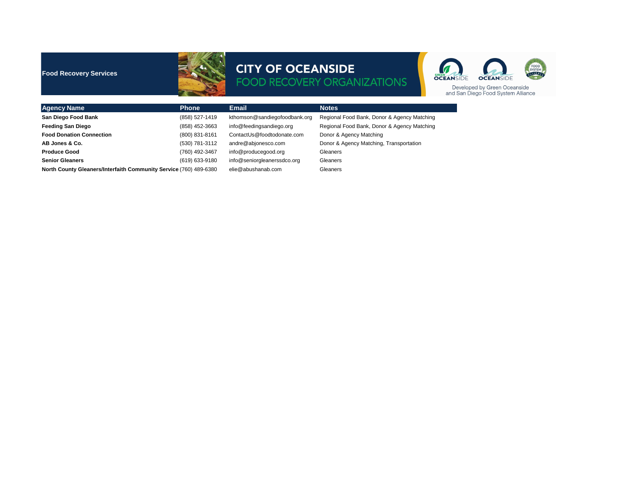| <b>Agency Name</b>                                                | <b>Phone</b>     | <b>Email</b>                  | <b>Notes</b>                                |
|-------------------------------------------------------------------|------------------|-------------------------------|---------------------------------------------|
| <b>San Diego Food Bank</b>                                        | (858) 527-1419   | kthomson@sandiegofoodbank.org | Regional Food Bank, Donor & Agency Matching |
| <b>Feeding San Diego</b>                                          | (858) 452-3663   | info@feedingsandiego.org      | Regional Food Bank, Donor & Agency Matching |
| <b>Food Donation Connection</b>                                   | $(800)$ 831-8161 | ContactUs@foodtodonate.com    | Donor & Agency Matching                     |
| AB Jones & Co.                                                    | (530) 781-3112   | andre@abjonesco.com           | Donor & Agency Matching, Transportation     |
| <b>Produce Good</b>                                               | (760) 492-3467   | info@producegood.org          | Gleaners                                    |
| <b>Senior Gleaners</b>                                            | (619) 633-9180   | info@seniorgleanerssdco.org   | <b>Gleaners</b>                             |
| North County Gleaners/Interfaith Community Service (760) 489-6380 |                  | elie@abushanab.com            | Gleaners                                    |



#### **Food Recovery Services**



## **CITY OF OCEANSIDE<br>FOOD RECOVERY ORGANIZATIONS**

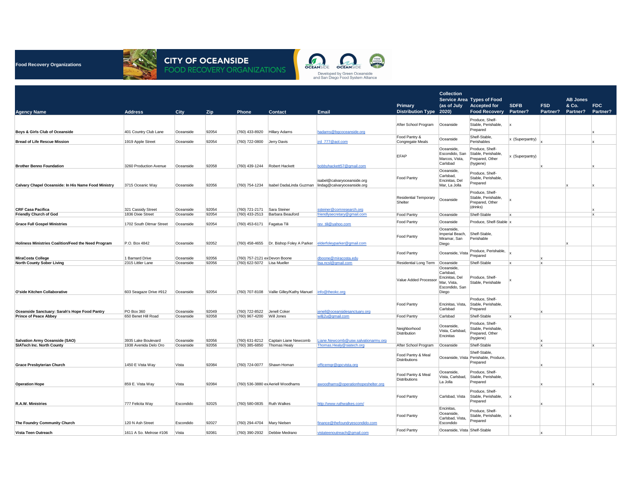

# **CITY OF OCEANSIDE<br>FOOD RECOVERY ORGANIZATIONS**



**Food Recovery Organizations**

|                                                     |                          |             |            |                                |                                                               |                                     |                                                        | <b>Collection</b>                                                                   |                                                                        |                 |            |                          |                        |
|-----------------------------------------------------|--------------------------|-------------|------------|--------------------------------|---------------------------------------------------------------|-------------------------------------|--------------------------------------------------------|-------------------------------------------------------------------------------------|------------------------------------------------------------------------|-----------------|------------|--------------------------|------------------------|
|                                                     |                          |             |            |                                |                                                               |                                     |                                                        |                                                                                     | <b>Service Area Types of Food</b>                                      |                 |            | <b>AB Jones</b>          |                        |
|                                                     |                          |             |            |                                |                                                               |                                     | <b>Primary</b>                                         | (as of July                                                                         | <b>Accepted for</b>                                                    | <b>SDFB</b>     | <b>FSD</b> | & Co.<br><b>Partner?</b> | <b>FDC</b><br>Partner? |
| <b>Agency Name</b>                                  | <b>Address</b>           | <b>City</b> | <b>Zip</b> | <b>Phone</b>                   | <b>Contact</b>                                                | <b>Email</b>                        | <b>Distribution Type 2020)</b><br>After School Program | Oceanside                                                                           | <b>Food Recovery</b><br>Produce, Shelf-<br>Stable, Perishable,         | <b>Partner?</b> | Partner?   |                          |                        |
| <b>Boys &amp; Girls Club of Oceanside</b>           | 401 Country Club Lane    | Oceanside   | 92054      | $(760)$ 433-8920 Hillary Adams |                                                               | hadams@bgcoceanside.org             |                                                        |                                                                                     | Prepared                                                               |                 |            |                          |                        |
| <b>Bread of Life Rescue Mission</b>                 | 1919 Apple Street        | Oceanside   | 92054      | (760) 722-0800                 | Jerry Davis                                                   | jrd 777@aol.com                     | Food Pantry &<br>Congregate Meals                      | Oceanside                                                                           | Shelf-Stable,<br>Perishables                                           | x (Superpantry) |            |                          |                        |
|                                                     |                          |             |            |                                |                                                               |                                     |                                                        | Oceanside,                                                                          | Produce, Shelf-                                                        |                 |            |                          |                        |
| <b>Brother Benno Foundation</b>                     | 3260 Production Avenue   | Oceanside   | 92058      |                                | $(760)$ 439-1244 Robert Hackett                               | bobbyhackett57@gmail.com            | <b>EFAP</b>                                            | Escondido, San<br>Marcos, Vista,<br>Carlsbad                                        | Stable, Perishable,<br>Prepared, Other<br>(hygiene)                    | x (Superpantry) |            |                          |                        |
|                                                     |                          |             |            |                                |                                                               | isabel@calvaryoceanside.org         | <b>Food Pantry</b>                                     | Oceanside,<br>Carlsbad,<br>Encinitas, Del                                           | Produce, Shelf-<br>Stable, Perishable,<br>Prepared                     |                 |            |                          |                        |
| Calvary Chapel Oceanside: In His Name Food Ministry | 3715 Oceanic Way         | Oceanside   | 92056      | $(760)$ 754-1234               | Isabel DadaLinda Guzman                                       | lindag@calvaryoceanside.org         |                                                        | Mar, La Jolla                                                                       |                                                                        |                 |            |                          |                        |
| <b>CRF Casa Pacifica</b>                            | 321 Cassidy Street       | Oceanside   | 92054      | (760) 721-2171                 | Sara Steiner                                                  | ssteiner@comresearch.org            | <b>Residential Temporary</b><br>Shelter                | Oceanside                                                                           | Produce, Shelf-<br>Stable, Perishable,<br>Prepared, Other<br>(drinks)  |                 |            |                          |                        |
| <b>Friendly Church of God</b>                       | 1836 Dixie Street        | Oceanside   | 92054      | $(760)$ 433-2513               | Barbara Beauford                                              | friendlysecretary@gmail.com         | <b>Food Pantry</b>                                     | Oceanside                                                                           | Shelf-Stable                                                           |                 |            |                          |                        |
| <b>Grace Full Gospel Ministries</b>                 | 1702 South Ditmar Street | Oceanside   | 92054      | (760) 453-6171                 | Fagatua Tili                                                  | rev_tili@yahoo.com                  | <b>Food Pantry</b>                                     | Oceanside                                                                           | Produce, Shelf-Stable x                                                |                 |            |                          |                        |
|                                                     |                          |             |            |                                |                                                               |                                     | <b>Food Pantry</b>                                     | Oceanside,<br>Imperial Beach,<br>Miramar, San                                       | Shelf-Stable,<br>Perishable                                            |                 |            |                          |                        |
| Holiness Ministries Coalition/Feed the Need Program | P.O. Box 4842            | Oceanside   | 92052      |                                | $(760)$ 458-4655 Dr. Bishop Foley A Parker                    | elderfoleyparker@gmail.com          |                                                        | Diego                                                                               |                                                                        |                 |            |                          |                        |
| <b>MiraCosta College</b>                            | 1 Barnard Drive          | Oceanside   | 92056      | (760) 757-2121 ex Devon Boone  |                                                               | dboone@miracosta.edu                | <b>Food Pantry</b>                                     | Oceanside, Vista                                                                    | Produce, Perishable,<br>Prepared                                       |                 |            |                          |                        |
| <b>North County Sober Living</b>                    | 2315 Littler Lane        | Oceanside   | 92056      | (760) 622-5072   Lisa Mueller  |                                                               | lisa.ncsl@gmail.com                 | <b>Residential Long Term</b>                           | Oceanside                                                                           | Shelf-Stable                                                           | $\mathbf{X}$    | ΙX         |                          |                        |
| O'side Kitchen Collaborative                        | 603 Seagaze Drive #912   | Oceanside   | 92054      |                                | (760) 707-8108   Vallie Gilley/Kathy Manuel   info@theokc.org |                                     | Value Added Processo                                   | Oceanside,<br>Carlsbad,<br>Encinitas, Del<br>Mar, Vista,<br>Escondido, San<br>Diego | Produce, Shelf-<br>Stable, Perishable                                  |                 |            |                          |                        |
| Oceanside Sanctuary: Sarah's Hope Food Pantry       | PO Box 360               | Oceanside   | 92049      | $(760)$ 722-8522               | Jenell Coker                                                  | jenell@oceansidesanctuary.org       | <b>Food Pantry</b>                                     | Encinitas, Vista,<br>Carlsbad                                                       | Produce, Shelf-<br>Stable, Perishable,<br>Prepared                     |                 |            |                          |                        |
| <b>Prince of Peace Abbey</b>                        | 650 Benet Hill Road      | Oceanside   | 92058      | (760) 967-4200                 | Will Jones                                                    | willj2u@gmail.com                   | <b>Food Pantry</b>                                     | Carlsbad                                                                            | Shelf-Stable                                                           |                 |            |                          |                        |
| Salvation Army Oceanside (SAO)                      | 3935 Lake Boulevard      | Oceanside   | 92056      |                                | $(760)$ 631-8212 Captain Liane Newcomb                        | Liane.Newcomb@usw.salvationarmy.org | Neighborhood<br>Distribution                           | Oceanside,<br>Vista, Carlsbad,<br>Encinitas                                         | Produce, Shelf-<br>Stable, Perishable,<br>Prepared, Other<br>(hygiene) |                 |            |                          |                        |
| <b>SIATech Inc. North County</b>                    | 1938 Avenida Delo Oro    | Oceanside   | 92056      | $(760)$ 385-6850               | Thomas Healy                                                  | Thomas.Healy@siatech.org            | After School Program                                   | Oceanside                                                                           | Shelf-Stable                                                           |                 |            |                          |                        |
| <b>Grace Presbyterian Church</b>                    | 1450 E Vista Way         | Vista       | 92084      |                                | $(760)$ 724-0077 Shawn Homan                                  | officemgr@gpcvista.org              | Food Pantry & Meal<br><b>Distributions</b>             | Oceanside, Vista                                                                    | Shelf-Stable,<br>Perishable, Produce<br>Prepared                       |                 |            |                          |                        |
| <b>Operation Hope</b>                               | 859 E. Vista Way         | Vista       | 92084      |                                | (760) 536-3880 ex Aeriell Woodhams                            | awoodhams@operationhopeshelter.org  | Food Pantry & Meal<br>Distributions                    | Oceanside,<br>Vista, Carlsbad,<br>La Jolla                                          | Produce, Shelf-<br>Stable, Perishable,<br>Prepared                     |                 |            |                          |                        |
| R.A.W. Ministries                                   | 777 Felicita Way         | Escondido   | 92025      | $(760)$ 580-0835 Ruth Walkes   |                                                               | http://www.ruthwalkes.com/          | <b>Food Pantry</b>                                     | Carlsbad, Vista                                                                     | Produce, Shelf-<br>Stable, Perishable,<br>Prepared                     |                 |            |                          |                        |
|                                                     |                          |             |            |                                |                                                               |                                     |                                                        | Encinitas,                                                                          | Produce, Shelf-                                                        |                 |            |                          |                        |
| The Foundry Community Church                        | 120 N Ash Street         | Escondido   | 92027      | (760) 294-4704   Mary Nielsen  |                                                               | finance@thefoundryescondido.com     | <b>Food Pantry</b>                                     | Oceanside,<br>Carlsbad, Vista,<br>Escondido                                         | Stable, Perishable,<br>Prepared                                        |                 |            |                          |                        |
| Vista Teen Outreach                                 | 1611 A So. Melrose #106  | Vista       | 92081      |                                | (760) 390-2932 <b>Debbie Medrano</b>                          | vistateenoutreach@gmail.com         | <b>Food Pantry</b>                                     | Oceanside, Vista Shelf-Stable                                                       |                                                                        |                 |            |                          |                        |
|                                                     |                          |             |            |                                |                                                               |                                     |                                                        |                                                                                     |                                                                        |                 |            |                          |                        |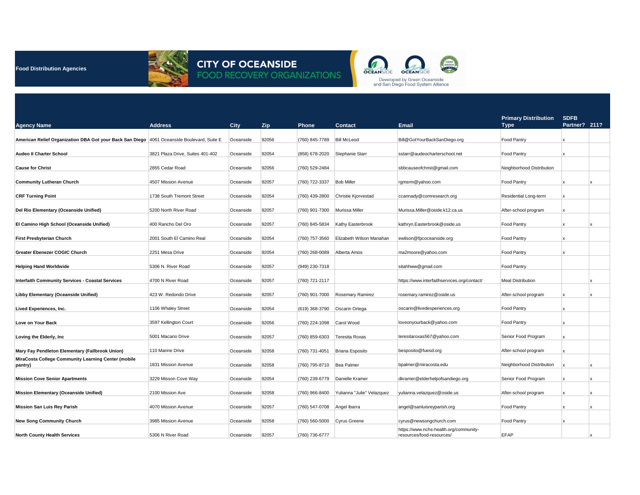| <b>Agency Name</b>                                                                         | <b>Address</b>                   | <b>City</b> | Zip   | <b>Phone</b>                | <b>Contact</b>             | <b>Email</b>                                                        | <b>Primary Distribution</b><br><b>Type</b> | SDFB<br>Partner? 211? |  |
|--------------------------------------------------------------------------------------------|----------------------------------|-------------|-------|-----------------------------|----------------------------|---------------------------------------------------------------------|--------------------------------------------|-----------------------|--|
|                                                                                            |                                  |             |       |                             |                            |                                                                     |                                            |                       |  |
| American Relief Organization DBA Got your Back San Diego 4061 Oceanside Boulevard, Suite E |                                  | Oceanside   | 92056 | (760) 845-7789              | <b>Bill McLeod</b>         | Bill@GotYourBackSanDiego.org                                        | Food Pantry                                |                       |  |
| <b>Audeo II Charter School</b>                                                             | 3821 Plaza Drive, Suites 401-402 | Oceanside   | 92054 | (858) 678-2020              | Stephanie Starr            | sstarr@audeocharterschool.net                                       | Food Pantry                                |                       |  |
| <b>Cause for Christ</b>                                                                    | 2855 Cedar Road                  | Oceanside   | 92056 | (760) 529-2484              |                            | sbbcauseofchrist@gmail.com                                          | Neighborhood Distribution                  |                       |  |
| <b>Community Lutheran Church</b>                                                           | 4507 Mission Avenue              | Oceanside   | 92057 | (760) 722-3337              | <b>Bob Miller</b>          | rgmsrm@yahoo.com                                                    | Food Pantry                                |                       |  |
| <b>CRF Turning Point</b>                                                                   | 1738 South Tremont Street        | Oceanside   | 92054 | (760) 439-2800              | Christie Kjorvestad        | ccannady@comresearch.org                                            | <b>Residential Long-term</b>               |                       |  |
| Del Rio Elementary (Oceanside Unified)                                                     | 5200 North River Road            | Oceanside   | 92057 | (760) 901-7300              | Murissa Miller             | Murissa.Miller@oside.k12.ca.us                                      | After-school program                       |                       |  |
| <b>El Camino High School (Oceanside Unified)</b>                                           | 400 Rancho Del Oro               | Oceanside   | 92057 | (760) 845-5834              | Kathy Easterbrook          | kathryn.Easterbrook@oside.us                                        | Food Pantry                                |                       |  |
| <b>First Presbyterian Church</b>                                                           | 2001 South El Camino Real        | Oceanside   | 92054 | (760) 757-3560              | Elizabeth Wilson Manahan   | ewilson@fpcoceanside.org                                            | Food Pantry                                |                       |  |
| <b>Greater Ebenezer COGIC Church</b>                                                       | 2251 Mesa Drive                  | Oceanside   | 92054 | (760) 268-0089              | Alberta Amos               | ma2moore@yahoo.com                                                  | Food Pantry                                |                       |  |
| <b>Helping Hand Worldwide</b>                                                              | 5306 N. River Road               | Oceanside   | 92057 | (949) 230-7318              |                            | sitahhww@gmail.com                                                  | Food Pantry                                |                       |  |
| <b>Interfaith Community Services - Coastal Services</b>                                    | 4700 N River Road                | Oceanside   | 92057 | (760) 721-2117              |                            | https://www.interfaithservices.org/contact/                         | <b>Meal Distribution</b>                   |                       |  |
| <b>Libby Elementary (Oceanside Unified)</b>                                                | 423 W. Redondo Drive             | Oceanside   | 92057 | (760) 901-7000              | <b>Rosemary Ramirez</b>    | rosemary.ramirez@oside.us                                           | After-school program                       |                       |  |
| <b>Lived Experiences, Inc.</b>                                                             | 1106 Whaley Street               | Oceanside   | 92054 | (619) 368-3790              | Oscarin Ortega             | oscarin@livedexperiences.org                                        | Food Pantry                                |                       |  |
| Love on Your Back                                                                          | 3597 Kellington Court            | Oceanside   | 92056 | (760) 224-1098              | Carol Wood                 | loveonyourback@yahoo.com                                            | Food Pantry                                |                       |  |
| Loving the Elderly, Inc                                                                    | 5001 Macario Drive               | Oceanside   | 92057 | (760) 859-6303              | Teresita Roxas             | teresitaroxas567@yahoo.com                                          | Senior Food Program                        |                       |  |
| Mary Fay Pendleton Elementary (Fallbrook Union)                                            | 110 Marine Drive                 | Oceanside   | 92058 | (760) 731-4051              | Briana Esposito            | besposito@fuesd.org                                                 | After-school program                       |                       |  |
| MiraCosta College Community Learning Center (mobile<br>pantry)                             | 1831 Mission Avenue              | Oceanside   | 92058 | (760) 795-8710   Bea Palmer |                            | bpalmer@miracosta.edu                                               | Neighborhood Distribution                  |                       |  |
| <b>Mission Cove Senior Apartments</b>                                                      | 3229 Misson Cove Way             | Oceanside   | 92054 | (760) 239-6779              | Danielle Kramer            | dkramer@elderhelpofsandiego.org                                     | Senior Food Program                        |                       |  |
| <b>Mission Elementary (Oceanside Unified)</b>                                              | 2100 Mission Ave                 | Oceanside   | 92058 | (760) 966-8400              | Yulianna "Julie" Velazquez | yulianna.velazquez@oside.us                                         | After-school program                       |                       |  |
| <b>Mission San Luis Rey Parish</b>                                                         | 4070 Mission Avenue              | Oceanside   | 92057 | (760) 547-0708              | Angel Ibarra               | angel@sanluisreyparish.org                                          | Food Pantry                                |                       |  |
| <b>New Song Community Church</b>                                                           | 3985 Mission Avenue              | Oceanside   | 92058 | (760) 560-5000              | Cyrus Greene               | cyrus@newsongchurch.com                                             | Food Pantry                                |                       |  |
| <b>North County Health Services</b>                                                        | 5306 N River Road                | Oceanside   | 92057 | $(760)$ 736-6777            |                            | https://www.nchs-health.org/community-<br>resources/food-resources/ | <b>EFAP</b>                                |                       |  |



## **CITY OF OCEANSIDE<br>FOOD RECOVERY ORGANIZATIONS**